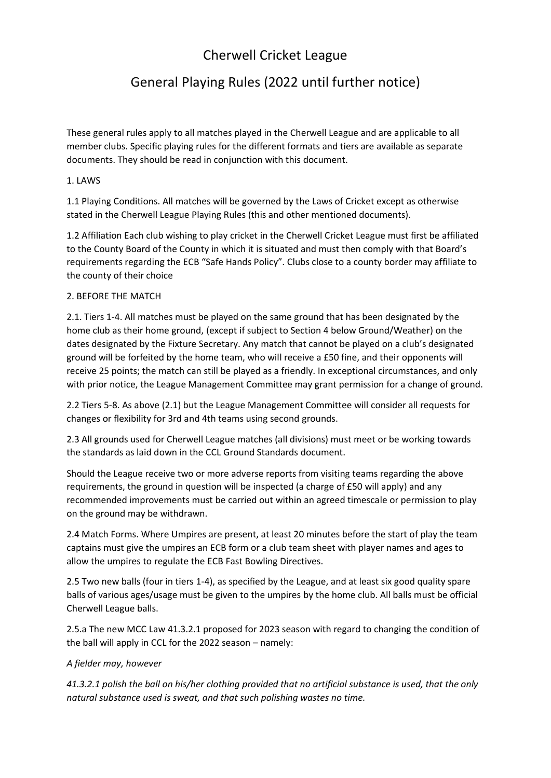# Cherwell Cricket League

# General Playing Rules (2022 until further notice)

These general rules apply to all matches played in the Cherwell League and are applicable to all member clubs. Specific playing rules for the different formats and tiers are available as separate documents. They should be read in conjunction with this document.

# 1. LAWS

1.1 Playing Conditions. All matches will be governed by the Laws of Cricket except as otherwise stated in the Cherwell League Playing Rules (this and other mentioned documents).

1.2 Affiliation Each club wishing to play cricket in the Cherwell Cricket League must first be affiliated to the County Board of the County in which it is situated and must then comply with that Board's requirements regarding the ECB "Safe Hands Policy". Clubs close to a county border may affiliate to the county of their choice

# 2. BEFORE THE MATCH

2.1. Tiers 1-4. All matches must be played on the same ground that has been designated by the home club as their home ground, (except if subject to Section 4 below Ground/Weather) on the dates designated by the Fixture Secretary. Any match that cannot be played on a club's designated ground will be forfeited by the home team, who will receive a £50 fine, and their opponents will receive 25 points; the match can still be played as a friendly. In exceptional circumstances, and only with prior notice, the League Management Committee may grant permission for a change of ground.

2.2 Tiers 5-8. As above (2.1) but the League Management Committee will consider all requests for changes or flexibility for 3rd and 4th teams using second grounds.

2.3 All grounds used for Cherwell League matches (all divisions) must meet or be working towards the standards as laid down in the CCL Ground Standards document.

Should the League receive two or more adverse reports from visiting teams regarding the above requirements, the ground in question will be inspected (a charge of £50 will apply) and any recommended improvements must be carried out within an agreed timescale or permission to play on the ground may be withdrawn.

2.4 Match Forms. Where Umpires are present, at least 20 minutes before the start of play the team captains must give the umpires an ECB form or a club team sheet with player names and ages to allow the umpires to regulate the ECB Fast Bowling Directives.

2.5 Two new balls (four in tiers 1-4), as specified by the League, and at least six good quality spare balls of various ages/usage must be given to the umpires by the home club. All balls must be official Cherwell League balls.

2.5.a The new MCC Law 41.3.2.1 proposed for 2023 season with regard to changing the condition of the ball will apply in CCL for the 2022 season – namely:

# *A fielder may, however*

*41.3.2.1 polish the ball on his/her clothing provided that no artificial substance is used, that the only natural substance used is sweat, and that such polishing wastes no time.*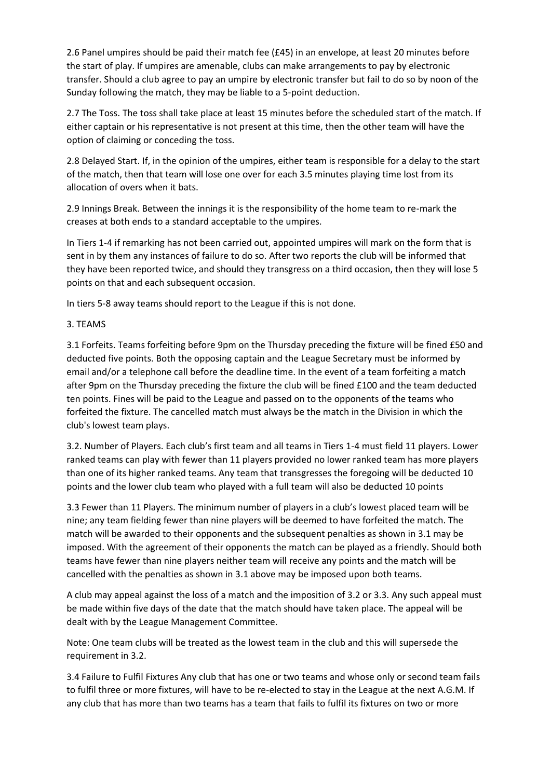2.6 Panel umpires should be paid their match fee (£45) in an envelope, at least 20 minutes before the start of play. If umpires are amenable, clubs can make arrangements to pay by electronic transfer. Should a club agree to pay an umpire by electronic transfer but fail to do so by noon of the Sunday following the match, they may be liable to a 5-point deduction.

2.7 The Toss. The toss shall take place at least 15 minutes before the scheduled start of the match. If either captain or his representative is not present at this time, then the other team will have the option of claiming or conceding the toss.

2.8 Delayed Start. If, in the opinion of the umpires, either team is responsible for a delay to the start of the match, then that team will lose one over for each 3.5 minutes playing time lost from its allocation of overs when it bats.

2.9 Innings Break. Between the innings it is the responsibility of the home team to re-mark the creases at both ends to a standard acceptable to the umpires.

In Tiers 1-4 if remarking has not been carried out, appointed umpires will mark on the form that is sent in by them any instances of failure to do so. After two reports the club will be informed that they have been reported twice, and should they transgress on a third occasion, then they will lose 5 points on that and each subsequent occasion.

In tiers 5-8 away teams should report to the League if this is not done.

3. TEAMS

3.1 Forfeits. Teams forfeiting before 9pm on the Thursday preceding the fixture will be fined £50 and deducted five points. Both the opposing captain and the League Secretary must be informed by email and/or a telephone call before the deadline time. In the event of a team forfeiting a match after 9pm on the Thursday preceding the fixture the club will be fined £100 and the team deducted ten points. Fines will be paid to the League and passed on to the opponents of the teams who forfeited the fixture. The cancelled match must always be the match in the Division in which the club's lowest team plays.

3.2. Number of Players. Each club's first team and all teams in Tiers 1-4 must field 11 players. Lower ranked teams can play with fewer than 11 players provided no lower ranked team has more players than one of its higher ranked teams. Any team that transgresses the foregoing will be deducted 10 points and the lower club team who played with a full team will also be deducted 10 points

3.3 Fewer than 11 Players. The minimum number of players in a club's lowest placed team will be nine; any team fielding fewer than nine players will be deemed to have forfeited the match. The match will be awarded to their opponents and the subsequent penalties as shown in 3.1 may be imposed. With the agreement of their opponents the match can be played as a friendly. Should both teams have fewer than nine players neither team will receive any points and the match will be cancelled with the penalties as shown in 3.1 above may be imposed upon both teams.

A club may appeal against the loss of a match and the imposition of 3.2 or 3.3. Any such appeal must be made within five days of the date that the match should have taken place. The appeal will be dealt with by the League Management Committee.

Note: One team clubs will be treated as the lowest team in the club and this will supersede the requirement in 3.2.

3.4 Failure to Fulfil Fixtures Any club that has one or two teams and whose only or second team fails to fulfil three or more fixtures, will have to be re-elected to stay in the League at the next A.G.M. If any club that has more than two teams has a team that fails to fulfil its fixtures on two or more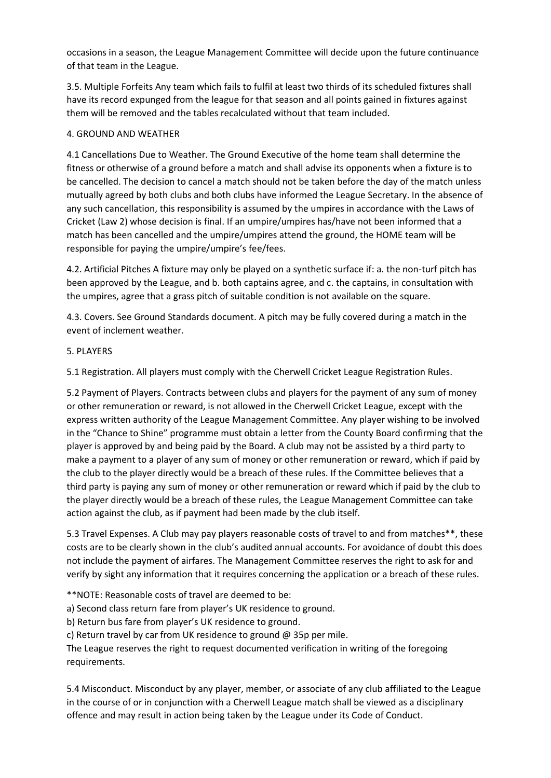occasions in a season, the League Management Committee will decide upon the future continuance of that team in the League.

3.5. Multiple Forfeits Any team which fails to fulfil at least two thirds of its scheduled fixtures shall have its record expunged from the league for that season and all points gained in fixtures against them will be removed and the tables recalculated without that team included.

#### 4. GROUND AND WEATHER

4.1 Cancellations Due to Weather. The Ground Executive of the home team shall determine the fitness or otherwise of a ground before a match and shall advise its opponents when a fixture is to be cancelled. The decision to cancel a match should not be taken before the day of the match unless mutually agreed by both clubs and both clubs have informed the League Secretary. In the absence of any such cancellation, this responsibility is assumed by the umpires in accordance with the Laws of Cricket (Law 2) whose decision is final. If an umpire/umpires has/have not been informed that a match has been cancelled and the umpire/umpires attend the ground, the HOME team will be responsible for paying the umpire/umpire's fee/fees.

4.2. Artificial Pitches A fixture may only be played on a synthetic surface if: a. the non-turf pitch has been approved by the League, and b. both captains agree, and c. the captains, in consultation with the umpires, agree that a grass pitch of suitable condition is not available on the square.

4.3. Covers. See Ground Standards document. A pitch may be fully covered during a match in the event of inclement weather.

#### 5. PLAYERS

5.1 Registration. All players must comply with the Cherwell Cricket League Registration Rules.

5.2 Payment of Players. Contracts between clubs and players for the payment of any sum of money or other remuneration or reward, is not allowed in the Cherwell Cricket League, except with the express written authority of the League Management Committee. Any player wishing to be involved in the "Chance to Shine" programme must obtain a letter from the County Board confirming that the player is approved by and being paid by the Board. A club may not be assisted by a third party to make a payment to a player of any sum of money or other remuneration or reward, which if paid by the club to the player directly would be a breach of these rules. If the Committee believes that a third party is paying any sum of money or other remuneration or reward which if paid by the club to the player directly would be a breach of these rules, the League Management Committee can take action against the club, as if payment had been made by the club itself.

5.3 Travel Expenses. A Club may pay players reasonable costs of travel to and from matches\*\*, these costs are to be clearly shown in the club's audited annual accounts. For avoidance of doubt this does not include the payment of airfares. The Management Committee reserves the right to ask for and verify by sight any information that it requires concerning the application or a breach of these rules.

\*\*NOTE: Reasonable costs of travel are deemed to be:

a) Second class return fare from player's UK residence to ground.

b) Return bus fare from player's UK residence to ground.

c) Return travel by car from UK residence to ground @ 35p per mile.

The League reserves the right to request documented verification in writing of the foregoing requirements.

5.4 Misconduct. Misconduct by any player, member, or associate of any club affiliated to the League in the course of or in conjunction with a Cherwell League match shall be viewed as a disciplinary offence and may result in action being taken by the League under its Code of Conduct.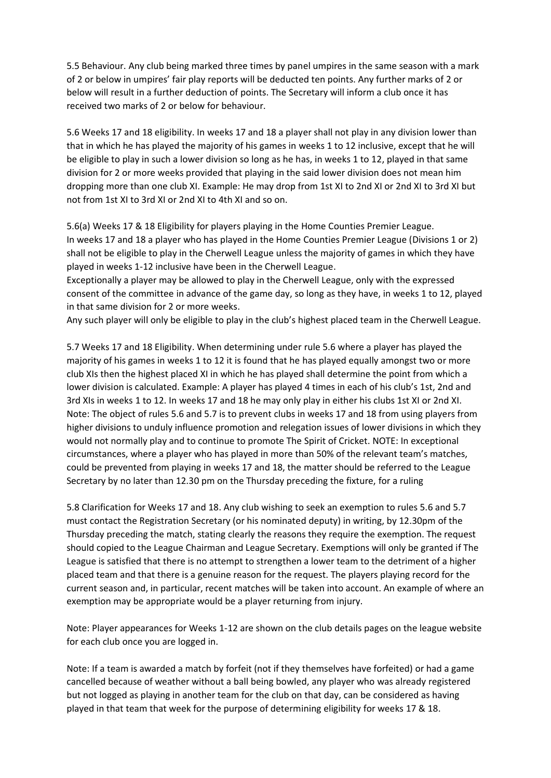5.5 Behaviour. Any club being marked three times by panel umpires in the same season with a mark of 2 or below in umpires' fair play reports will be deducted ten points. Any further marks of 2 or below will result in a further deduction of points. The Secretary will inform a club once it has received two marks of 2 or below for behaviour.

5.6 Weeks 17 and 18 eligibility. In weeks 17 and 18 a player shall not play in any division lower than that in which he has played the majority of his games in weeks 1 to 12 inclusive, except that he will be eligible to play in such a lower division so long as he has, in weeks 1 to 12, played in that same division for 2 or more weeks provided that playing in the said lower division does not mean him dropping more than one club XI. Example: He may drop from 1st XI to 2nd XI or 2nd XI to 3rd XI but not from 1st XI to 3rd XI or 2nd XI to 4th XI and so on.

5.6(a) Weeks 17 & 18 Eligibility for players playing in the Home Counties Premier League. In weeks 17 and 18 a player who has played in the Home Counties Premier League (Divisions 1 or 2) shall not be eligible to play in the Cherwell League unless the majority of games in which they have played in weeks 1-12 inclusive have been in the Cherwell League.

Exceptionally a player may be allowed to play in the Cherwell League, only with the expressed consent of the committee in advance of the game day, so long as they have, in weeks 1 to 12, played in that same division for 2 or more weeks.

Any such player will only be eligible to play in the club's highest placed team in the Cherwell League.

5.7 Weeks 17 and 18 Eligibility. When determining under rule 5.6 where a player has played the majority of his games in weeks 1 to 12 it is found that he has played equally amongst two or more club XIs then the highest placed XI in which he has played shall determine the point from which a lower division is calculated. Example: A player has played 4 times in each of his club's 1st, 2nd and 3rd XIs in weeks 1 to 12. In weeks 17 and 18 he may only play in either his clubs 1st XI or 2nd XI. Note: The object of rules 5.6 and 5.7 is to prevent clubs in weeks 17 and 18 from using players from higher divisions to unduly influence promotion and relegation issues of lower divisions in which they would not normally play and to continue to promote The Spirit of Cricket. NOTE: In exceptional circumstances, where a player who has played in more than 50% of the relevant team's matches, could be prevented from playing in weeks 17 and 18, the matter should be referred to the League Secretary by no later than 12.30 pm on the Thursday preceding the fixture, for a ruling

5.8 Clarification for Weeks 17 and 18. Any club wishing to seek an exemption to rules 5.6 and 5.7 must contact the Registration Secretary (or his nominated deputy) in writing, by 12.30pm of the Thursday preceding the match, stating clearly the reasons they require the exemption. The request should copied to the League Chairman and League Secretary. Exemptions will only be granted if The League is satisfied that there is no attempt to strengthen a lower team to the detriment of a higher placed team and that there is a genuine reason for the request. The players playing record for the current season and, in particular, recent matches will be taken into account. An example of where an exemption may be appropriate would be a player returning from injury.

Note: Player appearances for Weeks 1-12 are shown on the club details pages on the league website for each club once you are logged in.

Note: If a team is awarded a match by forfeit (not if they themselves have forfeited) or had a game cancelled because of weather without a ball being bowled, any player who was already registered but not logged as playing in another team for the club on that day, can be considered as having played in that team that week for the purpose of determining eligibility for weeks 17 & 18.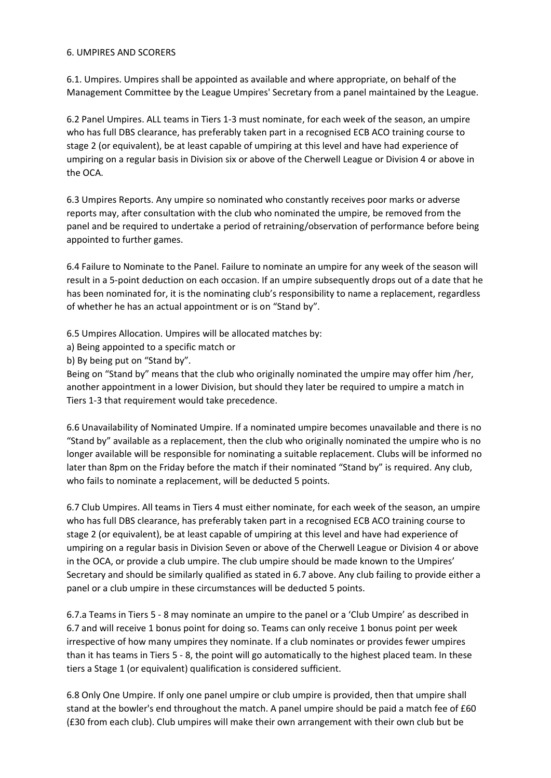#### 6. UMPIRES AND SCORERS

6.1. Umpires. Umpires shall be appointed as available and where appropriate, on behalf of the Management Committee by the League Umpires' Secretary from a panel maintained by the League.

6.2 Panel Umpires. ALL teams in Tiers 1-3 must nominate, for each week of the season, an umpire who has full DBS clearance, has preferably taken part in a recognised ECB ACO training course to stage 2 (or equivalent), be at least capable of umpiring at this level and have had experience of umpiring on a regular basis in Division six or above of the Cherwell League or Division 4 or above in the OCA.

6.3 Umpires Reports. Any umpire so nominated who constantly receives poor marks or adverse reports may, after consultation with the club who nominated the umpire, be removed from the panel and be required to undertake a period of retraining/observation of performance before being appointed to further games.

6.4 Failure to Nominate to the Panel. Failure to nominate an umpire for any week of the season will result in a 5-point deduction on each occasion. If an umpire subsequently drops out of a date that he has been nominated for, it is the nominating club's responsibility to name a replacement, regardless of whether he has an actual appointment or is on "Stand by".

6.5 Umpires Allocation. Umpires will be allocated matches by:

a) Being appointed to a specific match or

b) By being put on "Stand by".

Being on "Stand by" means that the club who originally nominated the umpire may offer him /her, another appointment in a lower Division, but should they later be required to umpire a match in Tiers 1-3 that requirement would take precedence.

6.6 Unavailability of Nominated Umpire. If a nominated umpire becomes unavailable and there is no "Stand by" available as a replacement, then the club who originally nominated the umpire who is no longer available will be responsible for nominating a suitable replacement. Clubs will be informed no later than 8pm on the Friday before the match if their nominated "Stand by" is required. Any club, who fails to nominate a replacement, will be deducted 5 points.

6.7 Club Umpires. All teams in Tiers 4 must either nominate, for each week of the season, an umpire who has full DBS clearance, has preferably taken part in a recognised ECB ACO training course to stage 2 (or equivalent), be at least capable of umpiring at this level and have had experience of umpiring on a regular basis in Division Seven or above of the Cherwell League or Division 4 or above in the OCA, or provide a club umpire. The club umpire should be made known to the Umpires' Secretary and should be similarly qualified as stated in 6.7 above. Any club failing to provide either a panel or a club umpire in these circumstances will be deducted 5 points.

6.7.a Teams in Tiers 5 - 8 may nominate an umpire to the panel or a 'Club Umpire' as described in 6.7 and will receive 1 bonus point for doing so. Teams can only receive 1 bonus point per week irrespective of how many umpires they nominate. If a club nominates or provides fewer umpires than it has teams in Tiers 5 - 8, the point will go automatically to the highest placed team. In these tiers a Stage 1 (or equivalent) qualification is considered sufficient.

6.8 Only One Umpire. If only one panel umpire or club umpire is provided, then that umpire shall stand at the bowler's end throughout the match. A panel umpire should be paid a match fee of £60 (£30 from each club). Club umpires will make their own arrangement with their own club but be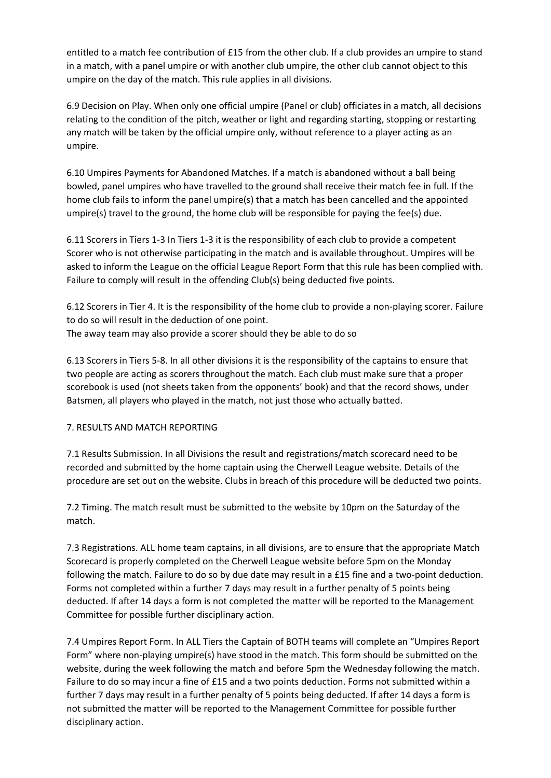entitled to a match fee contribution of £15 from the other club. If a club provides an umpire to stand in a match, with a panel umpire or with another club umpire, the other club cannot object to this umpire on the day of the match. This rule applies in all divisions.

6.9 Decision on Play. When only one official umpire (Panel or club) officiates in a match, all decisions relating to the condition of the pitch, weather or light and regarding starting, stopping or restarting any match will be taken by the official umpire only, without reference to a player acting as an umpire.

6.10 Umpires Payments for Abandoned Matches. If a match is abandoned without a ball being bowled, panel umpires who have travelled to the ground shall receive their match fee in full. If the home club fails to inform the panel umpire(s) that a match has been cancelled and the appointed umpire(s) travel to the ground, the home club will be responsible for paying the fee(s) due.

6.11 Scorers in Tiers 1-3 In Tiers 1-3 it is the responsibility of each club to provide a competent Scorer who is not otherwise participating in the match and is available throughout. Umpires will be asked to inform the League on the official League Report Form that this rule has been complied with. Failure to comply will result in the offending Club(s) being deducted five points.

6.12 Scorers in Tier 4. It is the responsibility of the home club to provide a non-playing scorer. Failure to do so will result in the deduction of one point. The away team may also provide a scorer should they be able to do so

6.13 Scorers in Tiers 5-8. In all other divisions it is the responsibility of the captains to ensure that two people are acting as scorers throughout the match. Each club must make sure that a proper scorebook is used (not sheets taken from the opponents' book) and that the record shows, under Batsmen, all players who played in the match, not just those who actually batted.

#### 7. RESULTS AND MATCH REPORTING

7.1 Results Submission. In all Divisions the result and registrations/match scorecard need to be recorded and submitted by the home captain using the Cherwell League website. Details of the procedure are set out on the website. Clubs in breach of this procedure will be deducted two points.

7.2 Timing. The match result must be submitted to the website by 10pm on the Saturday of the match.

7.3 Registrations. ALL home team captains, in all divisions, are to ensure that the appropriate Match Scorecard is properly completed on the Cherwell League website before 5pm on the Monday following the match. Failure to do so by due date may result in a £15 fine and a two-point deduction. Forms not completed within a further 7 days may result in a further penalty of 5 points being deducted. If after 14 days a form is not completed the matter will be reported to the Management Committee for possible further disciplinary action.

7.4 Umpires Report Form. In ALL Tiers the Captain of BOTH teams will complete an "Umpires Report Form" where non-playing umpire(s) have stood in the match. This form should be submitted on the website, during the week following the match and before 5pm the Wednesday following the match. Failure to do so may incur a fine of £15 and a two points deduction. Forms not submitted within a further 7 days may result in a further penalty of 5 points being deducted. If after 14 days a form is not submitted the matter will be reported to the Management Committee for possible further disciplinary action.